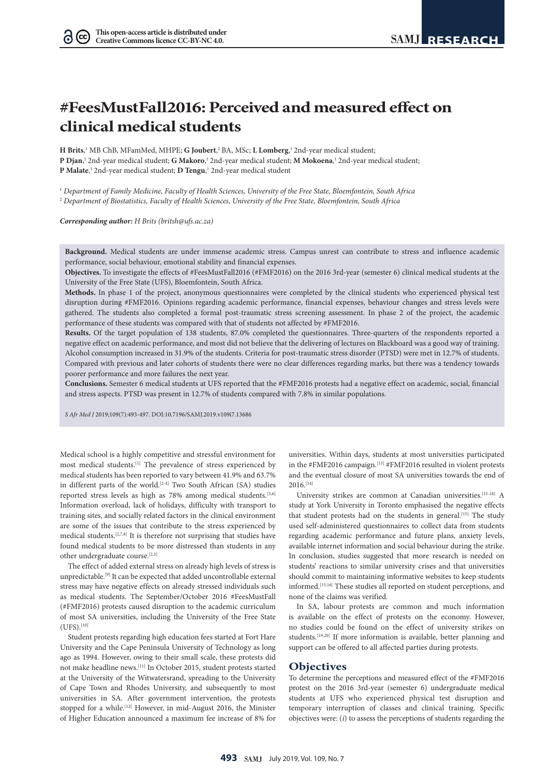$(cc)$ 

# **#FeesMustFall2016: Perceived and measured effect on clinical medical students**

**H Brits**, 1 MB ChB, MFamMed, MHPE; **G Joubert**, <sup>2</sup> BA, MSc; **L Lomberg**, <sup>1</sup> 2nd-year medical student; **P Djan**, <sup>1</sup> 2nd-year medical student; **G Makoro**, <sup>1</sup> 2nd-year medical student; **M Mokoena**, <sup>1</sup> 2nd-year medical student; **P Malate**, <sup>1</sup> 2nd-year medical student; **D Tengu**, <sup>1</sup> 2nd-year medical student

1  *Department of Family Medicine, Faculty of Health Sciences, University of the Free State, Bloemfontein, South Africa* 2  *Department of Biostatistics, Faculty of Health Sciences, University of the Free State, Bloemfontein, South Africa*

*Corresponding author: H Brits (britsh@ufs.ac.za)*

**Background.** Medical students are under immense academic stress. Campus unrest can contribute to stress and influence academic performance, social behaviour, emotional stability and financial expenses.

**Objectives.** To investigate the effects of #FeesMustFall2016 (#FMF2016) on the 2016 3rd-year (semester 6) clinical medical students at the University of the Free State (UFS), Bloemfontein, South Africa.

**Methods.** In phase 1 of the project, anonymous questionnaires were completed by the clinical students who experienced physical test disruption during #FMF2016. Opinions regarding academic performance, financial expenses, behaviour changes and stress levels were gathered. The students also completed a formal post-traumatic stress screening assessment. In phase 2 of the project, the academic performance of these students was compared with that of students not affected by #FMF2016.

**Results.** Of the target population of 138 students, 87.0% completed the questionnaires. Three-quarters of the respondents reported a negative effect on academic performance, and most did not believe that the delivering of lectures on Blackboard was a good way of training. Alcohol consumption increased in 31.9% of the students. Criteria for post-traumatic stress disorder (PTSD) were met in 12.7% of students. Compared with previous and later cohorts of students there were no clear differences regarding marks, but there was a tendency towards poorer performance and more failures the next year.

**Conclusions.** Semester 6 medical students at UFS reported that the #FMF2016 protests had a negative effect on academic, social, financial and stress aspects. PTSD was present in 12.7% of students compared with 7.8% in similar populations.

*S Afr Med J* 2019;109(7):493-497. DOI:10.7196/SAMJ.2019.v109i7.13686

Medical school is a highly competitive and stressful environment for most medical students.<sup>[1]</sup> The prevalence of stress experienced by medical students has been reported to vary between 41.9% and 63.7% in different parts of the world.<sup>[2-4]</sup> Two South African (SA) studies reported stress levels as high as 78% among medical students.<sup>[5,6]</sup> Information overload, lack of holidays, difficulty with transport to training sites, and socially related factors in the clinical environment are some of the issues that contribute to the stress experienced by medical students.[2,7,8] It is therefore not surprising that studies have found medical students to be more distressed than students in any other undergraduate course.[2,3]

The effect of added external stress on already high levels of stress is unpredictable.[9] It can be expected that added uncontrollable external stress may have negative effects on already stressed individuals such as medical students. The September/October 2016 #FeesMustFall (#FMF2016) protests caused disruption to the academic curriculum of most SA universities, including the University of the Free State  $(UFS).$ [10]

Student protests regarding high education fees started at Fort Hare University and the Cape Peninsula University of Technology as long ago as 1994. However, owing to their small scale, these protests did not make headline news.[11] In October 2015, student protests started at the University of the Witwatersrand, spreading to the University of Cape Town and Rhodes University, and subsequently to most universities in SA. After government intervention, the protests stopped for a while.<sup>[12]</sup> However, in mid-August 2016, the Minister of Higher Education announced a maximum fee increase of 8% for

universities. Within days, students at most universities participated in the #FMF2016 campaign.<sup>[13]</sup> #FMF2016 resulted in violent protests and the eventual closure of most SA universities towards the end of 2016.[14]

University strikes are common at Canadian universities.[15-18] A study at York University in Toronto emphasised the negative effects that student protests had on the students in general.<sup>[15]</sup> The study used self-administered questionnaires to collect data from students regarding academic performance and future plans, anxiety levels, available internet information and social behaviour during the strike. In conclusion, studies suggested that more research is needed on students' reactions to similar university crises and that universities should commit to maintaining informative websites to keep students informed.[15,16] These studies all reported on student perceptions, and none of the claims was verified.

In SA, labour protests are common and much information is available on the effect of protests on the economy. However, no studies could be found on the effect of university strikes on students.<sup>[19,20]</sup> If more information is available, better planning and support can be offered to all affected parties during protests.

## **Objectives**

To determine the perceptions and measured effect of the #FMF2016 protest on the 2016 3rd-year (semester 6) undergraduate medical students at UFS who experienced physical test disruption and temporary interruption of classes and clinical training. Specific objectives were: (*i*) to assess the perceptions of students regarding the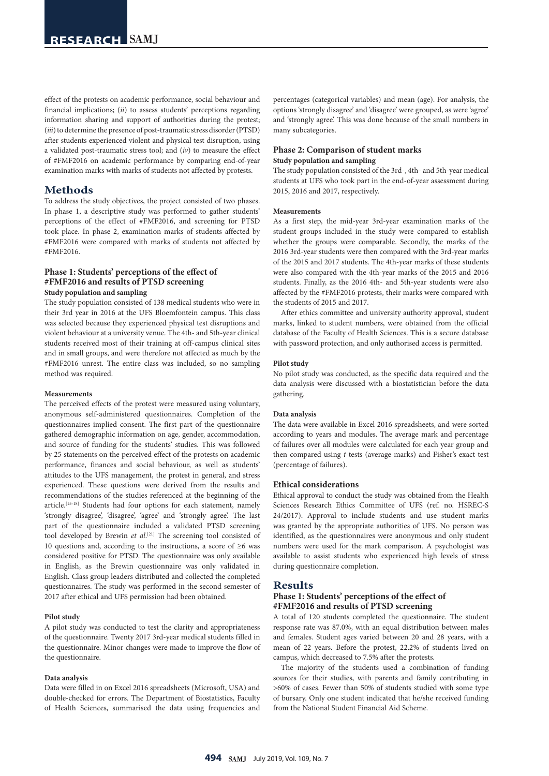effect of the protests on academic performance, social behaviour and financial implications; (*ii*) to assess students' perceptions regarding information sharing and support of authorities during the protest; (*iii*) to determine the presence of post-traumatic stress disorder (PTSD) after students experienced violent and physical test disruption, using a validated post-traumatic stress tool; and (*iv*) to measure the effect of #FMF2016 on academic performance by comparing end-of-year examination marks with marks of students not affected by protests.

# **Methods**

To address the study objectives, the project consisted of two phases. In phase 1, a descriptive study was performed to gather students' perceptions of the effect of #FMF2016, and screening for PTSD took place. In phase 2, examination marks of students affected by #FMF2016 were compared with marks of students not affected by #FMF2016.

# **Phase 1: Students' perceptions of the effect of #FMF2016 and results of PTSD screening Study population and sampling**

The study population consisted of 138 medical students who were in their 3rd year in 2016 at the UFS Bloemfontein campus. This class was selected because they experienced physical test disruptions and violent behaviour at a university venue. The 4th- and 5th-year clinical students received most of their training at off-campus clinical sites and in small groups, and were therefore not affected as much by the #FMF2016 unrest. The entire class was included, so no sampling method was required.

#### **Measurements**

The perceived effects of the protest were measured using voluntary, anonymous self-administered questionnaires. Completion of the questionnaires implied consent. The first part of the questionnaire gathered demographic information on age, gender, accommodation, and source of funding for the students' studies. This was followed by 25 statements on the perceived effect of the protests on academic performance, finances and social behaviour, as well as students' attitudes to the UFS management, the protest in general, and stress experienced. These questions were derived from the results and recommendations of the studies referenced at the beginning of the article.[15-18] Students had four options for each statement, namely 'strongly disagree', 'disagree', 'agree' and 'strongly agree'. The last part of the questionnaire included a validated PTSD screening tool developed by Brewin *et al*. [21] The screening tool consisted of 10 questions and, according to the instructions, a score of ≥6 was considered positive for PTSD. The questionnaire was only available in English, as the Brewin questionnaire was only validated in English. Class group leaders distributed and collected the completed questionnaires. The study was performed in the second semester of 2017 after ethical and UFS permission had been obtained.

## **Pilot study**

A pilot study was conducted to test the clarity and appropriateness of the questionnaire. Twenty 2017 3rd-year medical students filled in the questionnaire. Minor changes were made to improve the flow of the questionnaire.

## **Data analysis**

Data were filled in on Excel 2016 spreadsheets (Microsoft, USA) and double-checked for errors. The Department of Biostatistics, Faculty of Health Sciences, summarised the data using frequencies and percentages (categorical variables) and mean (age). For analysis, the options 'strongly disagree' and 'disagree' were grouped, as were 'agree' and 'strongly agree'. This was done because of the small numbers in many subcategories.

# **Phase 2: Comparison of student marks Study population and sampling**

The study population consisted of the 3rd-, 4th- and 5th-year medical students at UFS who took part in the end-of-year assessment during 2015, 2016 and 2017, respectively.

#### **Measurements**

As a first step, the mid-year 3rd-year examination marks of the student groups included in the study were compared to establish whether the groups were comparable. Secondly, the marks of the 2016 3rd-year students were then compared with the 3rd-year marks of the 2015 and 2017 students. The 4th-year marks of these students were also compared with the 4th-year marks of the 2015 and 2016 students. Finally, as the 2016 4th- and 5th-year students were also affected by the #FMF2016 protests, their marks were compared with the students of 2015 and 2017.

After ethics committee and university authority approval, student marks, linked to student numbers, were obtained from the official database of the Faculty of Health Sciences. This is a secure database with password protection, and only authorised access is permitted.

#### **Pilot study**

No pilot study was conducted, as the specific data required and the data analysis were discussed with a biostatistician before the data gathering.

## **Data analysis**

The data were available in Excel 2016 spreadsheets, and were sorted according to years and modules. The average mark and percentage of failures over all modules were calculated for each year group and then compared using *t*-tests (average marks) and Fisher's exact test (percentage of failures).

#### **Ethical considerations**

Ethical approval to conduct the study was obtained from the Health Sciences Research Ethics Committee of UFS (ref. no. HSREC-S 24/2017). Approval to include students and use student marks was granted by the appropriate authorities of UFS. No person was identified, as the questionnaires were anonymous and only student numbers were used for the mark comparison. A psychologist was available to assist students who experienced high levels of stress during questionnaire completion.

#### **Results**

## **Phase 1: Students' perceptions of the effect of #FMF2016 and results of PTSD screening**

A total of 120 students completed the questionnaire. The student response rate was 87.0%, with an equal distribution between males and females. Student ages varied between 20 and 28 years, with a mean of 22 years. Before the protest, 22.2% of students lived on campus, which decreased to 7.5% after the protests.

The majority of the students used a combination of funding sources for their studies, with parents and family contributing in >60% of cases. Fewer than 50% of students studied with some type of bursary. Only one student indicated that he/she received funding from the National Student Financial Aid Scheme.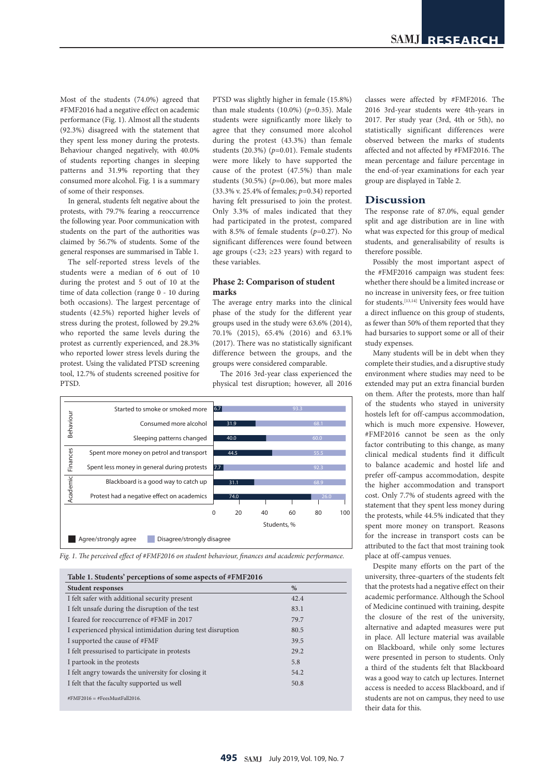Most of the students (74.0%) agreed that #FMF2016 had a negative effect on academic performance (Fig. 1). Almost all the students (92.3%) disagreed with the statement that they spent less money during the protests. Behaviour changed negatively, with 40.0% of students reporting changes in sleeping patterns and 31.9% reporting that they consumed more alcohol. Fig. 1 is a summary of some of their responses.

In general, students felt negative about the protests, with 79.7% fearing a reoccurrence the following year. Poor communication with students on the part of the authorities was claimed by 56.7% of students. Some of the general responses are summarised in Table 1.

The self-reported stress levels of the students were a median of 6 out of 10 during the protest and 5 out of 10 at the time of data collection (range 0 - 10 during both occasions). The largest percentage of students (42.5%) reported higher levels of stress during the protest, followed by 29.2% who reported the same levels during the protest as currently experienced, and 28.3% who reported lower stress levels during the protest. Using the validated PTSD screening tool, 12.7% of students screened positive for PTSD.

PTSD was slightly higher in female (15.8%) than male students (10.0%) (*p*=0.35). Male students were significantly more likely to agree that they consumed more alcohol during the protest (43.3%) than female students (20.3%) (*p*=0.01). Female students were more likely to have supported the cause of the protest (47.5%) than male students (30.5%) (*p*=0.06), but more males (33.3% v. 25.4% of females; *p*=0.34) reported having felt pressurised to join the protest. Only 3.3% of males indicated that they had participated in the protest, compared with 8.5% of female students (*p*=0.27). No significant differences were found between age groups (<23; ≥23 years) with regard to these variables.

# **Phase 2: Comparison of student marks**

The average entry marks into the clinical phase of the study for the different year groups used in the study were 63.6% (2014), 70.1% (2015), 65.4% (2016) and 63.1% (2017). There was no statistically significant difference between the groups, and the groups were considered comparable.

The 2016 3rd-year class experienced the physical test disruption; however, all 2016





| <b>Student responses</b>                                   | %    |  |
|------------------------------------------------------------|------|--|
| I felt safer with additional security present              | 42.4 |  |
| I felt unsafe during the disruption of the test            | 83.1 |  |
| I feared for reoccurrence of #FMF in 2017                  | 79.7 |  |
| I experienced physical intimidation during test disruption | 80.5 |  |
| I supported the cause of #FMF                              | 39.5 |  |
| I felt pressurised to participate in protests              | 29.2 |  |
| I partook in the protests                                  | 5.8  |  |
| I felt angry towards the university for closing it         | 54.2 |  |
| I felt that the faculty supported us well                  | 50.8 |  |

classes were affected by #FMF2016. The 2016 3rd-year students were 4th-years in 2017. Per study year (3rd, 4th or 5th), no statistically significant differences were observed between the marks of students affected and not affected by #FMF2016. The mean percentage and failure percentage in the end-of-year examinations for each year group are displayed in Table 2.

# **Discussion**

The response rate of 87.0%, equal gender split and age distribution are in line with what was expected for this group of medical students, and generalisability of results is therefore possible.

Possibly the most important aspect of the #FMF2016 campaign was student fees: whether there should be a limited increase or no increase in university fees, or free tuition for students.[13,14] University fees would have a direct influence on this group of students, as fewer than 50% of them reported that they had bursaries to support some or all of their study expenses.

Many students will be in debt when they complete their studies, and a disruptive study environment where studies may need to be extended may put an extra financial burden on them. After the protests, more than half of the students who stayed in university hostels left for off-campus accommodation, which is much more expensive. However, #FMF2016 cannot be seen as the only factor contributing to this change, as many clinical medical students find it difficult to balance academic and hostel life and prefer off-campus accommodation, despite the higher accommodation and transport cost. Only 7.7% of students agreed with the statement that they spent less money during the protests, while 44.5% indicated that they spent more money on transport. Reasons for the increase in transport costs can be attributed to the fact that most training took place at off-campus venues.

Despite many efforts on the part of the university, three-quarters of the students felt that the protests had a negative effect on their academic performance. Although the School of Medicine continued with training, despite the closure of the rest of the university, alternative and adapted measures were put in place. All lecture material was available on Blackboard, while only some lectures were presented in person to students. Only a third of the students felt that Blackboard was a good way to catch up lectures. Internet access is needed to access Blackboard, and if students are not on campus, they need to use their data for this.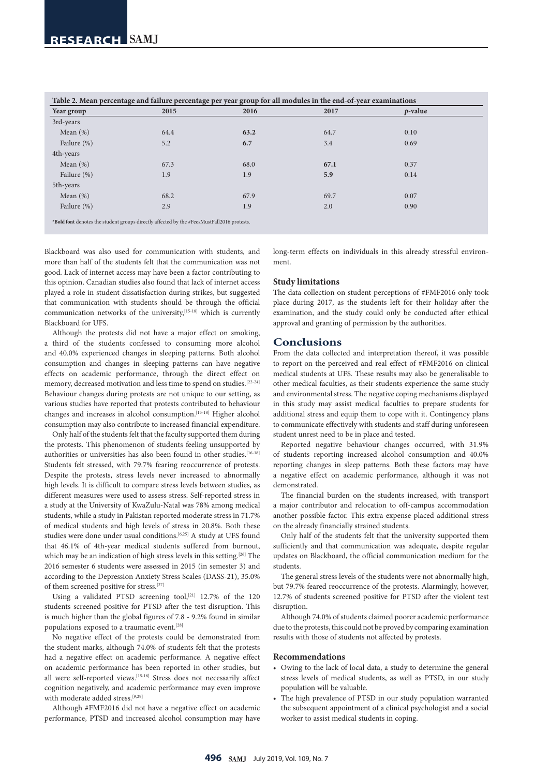| Table 2. Mean percentage and failure percentage per year group for all modules in the end-of-year examinations |      |      |      |                 |  |  |
|----------------------------------------------------------------------------------------------------------------|------|------|------|-----------------|--|--|
| Year group                                                                                                     | 2015 | 2016 | 2017 | <i>p</i> -value |  |  |
| 3rd-years                                                                                                      |      |      |      |                 |  |  |
| Mean $(\%)$                                                                                                    | 64.4 | 63.2 | 64.7 | 0.10            |  |  |
| Failure (%)                                                                                                    | 5.2  | 6.7  | 3.4  | 0.69            |  |  |
| 4th-years                                                                                                      |      |      |      |                 |  |  |
| Mean $(\%)$                                                                                                    | 67.3 | 68.0 | 67.1 | 0.37            |  |  |
| Failure (%)                                                                                                    | 1.9  | 1.9  | 5.9  | 0.14            |  |  |
| 5th-years                                                                                                      |      |      |      |                 |  |  |
| Mean $(\%)$                                                                                                    | 68.2 | 67.9 | 69.7 | 0.07            |  |  |
| Failure (%)                                                                                                    | 2.9  | 1.9  | 2.0  | 0.90            |  |  |
|                                                                                                                |      |      |      |                 |  |  |

\***Bold font** denotes the student groups directly affected by the #FeesMustFall2016 protests.

Blackboard was also used for communication with students, and more than half of the students felt that the communication was not good. Lack of internet access may have been a factor contributing to this opinion. Canadian studies also found that lack of internet access played a role in student dissatisfaction during strikes, but suggested that communication with students should be through the official communication networks of the university,<sup>[15-18]</sup> which is currently Blackboard for UFS.

Although the protests did not have a major effect on smoking, a third of the students confessed to consuming more alcohol and 40.0% experienced changes in sleeping patterns. Both alcohol consumption and changes in sleeping patterns can have negative effects on academic performance, through the direct effect on memory, decreased motivation and less time to spend on studies.[22-24] Behaviour changes during protests are not unique to our setting, as various studies have reported that protests contributed to behaviour changes and increases in alcohol consumption.[15-18] Higher alcohol consumption may also contribute to increased financial expenditure.

Only half of the students felt that the faculty supported them during the protests. This phenomenon of students feeling unsupported by authorities or universities has also been found in other studies.<sup>[16-18]</sup> Students felt stressed, with 79.7% fearing reoccurrence of protests. Despite the protests, stress levels never increased to abnormally high levels. It is difficult to compare stress levels between studies, as different measures were used to assess stress. Self-reported stress in a study at the University of KwaZulu-Natal was 78% among medical students, while a study in Pakistan reported moderate stress in 71.7% of medical students and high levels of stress in 20.8%. Both these studies were done under usual conditions.<sup>[6,25]</sup> A study at UFS found that 46.1% of 4th-year medical students suffered from burnout, which may be an indication of high stress levels in this setting.<sup>[26]</sup> The 2016 semester 6 students were assessed in 2015 (in semester 3) and according to the Depression Anxiety Stress Scales (DASS-21), 35.0% of them screened positive for stress.[27]

Using a validated PTSD screening tool,<sup>[21]</sup> 12.7% of the 120 students screened positive for PTSD after the test disruption. This is much higher than the global figures of 7.8 - 9.2% found in similar populations exposed to a traumatic event.[28]

No negative effect of the protests could be demonstrated from the student marks, although 74.0% of students felt that the protests had a negative effect on academic performance. A negative effect on academic performance has been reported in other studies, but all were self-reported views.[15-18] Stress does not necessarily affect cognition negatively, and academic performance may even improve with moderate added stress.[9,29]

Although #FMF2016 did not have a negative effect on academic performance, PTSD and increased alcohol consumption may have long-term effects on individuals in this already stressful environment.

#### **Study limitations**

The data collection on student perceptions of #FMF2016 only took place during 2017, as the students left for their holiday after the examination, and the study could only be conducted after ethical approval and granting of permission by the authorities.

## **Conclusions**

From the data collected and interpretation thereof, it was possible to report on the perceived and real effect of #FMF2016 on clinical medical students at UFS. These results may also be generalisable to other medical faculties, as their students experience the same study and environmental stress. The negative coping mechanisms displayed in this study may assist medical faculties to prepare students for additional stress and equip them to cope with it. Contingency plans to communicate effectively with students and staff during unforeseen student unrest need to be in place and tested.

Reported negative behaviour changes occurred, with 31.9% of students reporting increased alcohol consumption and 40.0% reporting changes in sleep patterns. Both these factors may have a negative effect on academic performance, although it was not demonstrated.

The financial burden on the students increased, with transport a major contributor and relocation to off-campus accommodation another possible factor. This extra expense placed additional stress on the already financially strained students.

Only half of the students felt that the university supported them sufficiently and that communication was adequate, despite regular updates on Blackboard, the official communication medium for the students.

The general stress levels of the students were not abnormally high, but 79.7% feared reoccurrence of the protests. Alarmingly, however, 12.7% of students screened positive for PTSD after the violent test disruption.

Although 74.0% of students claimed poorer academic performance due to the protests, this could not be proved by comparing examination results with those of students not affected by protests.

## **Recommendations**

- Owing to the lack of local data, a study to determine the general stress levels of medical students, as well as PTSD, in our study population will be valuable.
- The high prevalence of PTSD in our study population warranted the subsequent appointment of a clinical psychologist and a social worker to assist medical students in coping.